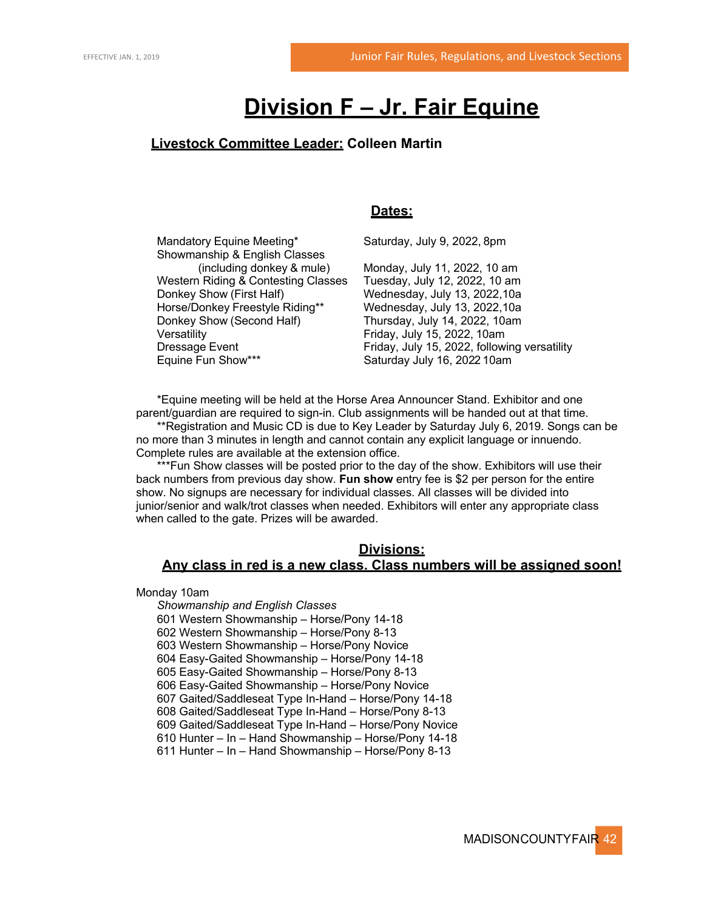# **Division F – Jr. Fair Equine**

## **Livestock Committee Leader: Colleen Martin**

## **Dates:**

Mandatory Equine Meeting\* Saturday, July 9, 2022, 8pm

Showmanship & English Classes Western Riding & Contesting Classes Tuesday, July 12, 2022, 10 am Donkey Show (First Half) Wednesday, July 13, 2022, 10a Horse/Donkey Freestyle Riding\*\* Wednesday, July 13, 2022,10a Donkey Show (Second Half) Thursday, July 14, 2022, 10am Versatility **Friday, July 15, 2022, 10am** Equine Fun Show\*\*\* Saturday July 16, 2022 10am

(including donkey & mule) Monday, July 11, 2022, 10 am Dressage Event Friday, July 15, 2022, following versatility

\*Equine meeting will be held at the Horse Area Announcer Stand. Exhibitor and one parent/guardian are required to sign-in. Club assignments will be handed out at that time.

\*\*Registration and Music CD is due to Key Leader by Saturday July 6, 2019. Songs can be no more than 3 minutes in length and cannot contain any explicit language or innuendo. Complete rules are available at the extension office.

\*\*\*Fun Show classes will be posted prior to the day of the show. Exhibitors will use their back numbers from previous day show. **Fun show** entry fee is \$2 per person for the entire show. No signups are necessary for individual classes. All classes will be divided into junior/senior and walk/trot classes when needed. Exhibitors will enter any appropriate class when called to the gate. Prizes will be awarded.

#### **Divisions:**

## **Any class in red is a new class. Class numbers will be assigned soon!**

Monday 10am

*Showmanship and English Classes* 601 Western Showmanship – Horse/Pony 14-18 602 Western Showmanship – Horse/Pony 8-13 603 Western Showmanship – Horse/Pony Novice 604 Easy-Gaited Showmanship – Horse/Pony 14-18 605 Easy-Gaited Showmanship – Horse/Pony 8-13 606 Easy-Gaited Showmanship – Horse/Pony Novice 607 Gaited/Saddleseat Type In-Hand – Horse/Pony 14-18 608 Gaited/Saddleseat Type In-Hand – Horse/Pony 8-13 609 Gaited/Saddleseat Type In-Hand – Horse/Pony Novice 610 Hunter – In – Hand Showmanship – Horse/Pony 14-18 611 Hunter – In – Hand Showmanship – Horse/Pony 8-13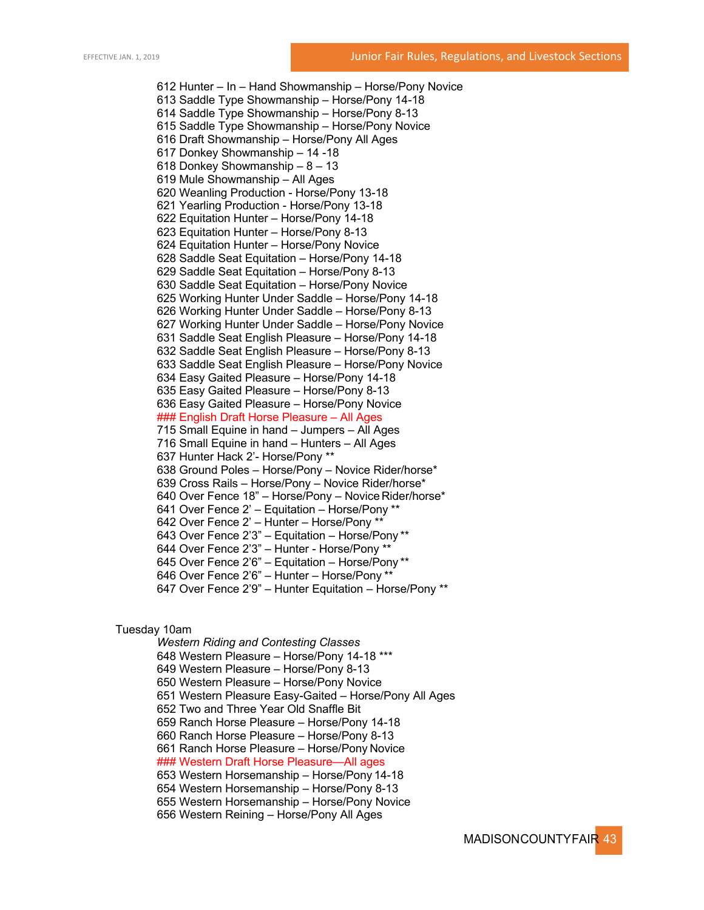612 Hunter – In – Hand Showmanship – Horse/Pony Novice 613 Saddle Type Showmanship – Horse/Pony 14-18 614 Saddle Type Showmanship – Horse/Pony 8-13 615 Saddle Type Showmanship – Horse/Pony Novice 616 Draft Showmanship – Horse/Pony All Ages 617 Donkey Showmanship – 14 -18 618 Donkey Showmanship – 8 – 13 619 Mule Showmanship – All Ages 620 Weanling Production - Horse/Pony 13-18 621 Yearling Production - Horse/Pony 13-18 622 Equitation Hunter – Horse/Pony 14-18 623 Equitation Hunter – Horse/Pony 8-13 624 Equitation Hunter – Horse/Pony Novice 628 Saddle Seat Equitation – Horse/Pony 14-18 629 Saddle Seat Equitation – Horse/Pony 8-13 630 Saddle Seat Equitation – Horse/Pony Novice 625 Working Hunter Under Saddle – Horse/Pony 14-18 626 Working Hunter Under Saddle – Horse/Pony 8-13 627 Working Hunter Under Saddle – Horse/Pony Novice 631 Saddle Seat English Pleasure – Horse/Pony 14-18 632 Saddle Seat English Pleasure – Horse/Pony 8-13 633 Saddle Seat English Pleasure – Horse/Pony Novice 634 Easy Gaited Pleasure – Horse/Pony 14-18 635 Easy Gaited Pleasure – Horse/Pony 8-13 636 Easy Gaited Pleasure – Horse/Pony Novice ### English Draft Horse Pleasure – All Ages 715 Small Equine in hand – Jumpers – All Ages 716 Small Equine in hand – Hunters – All Ages 637 Hunter Hack 2'- Horse/Pony \*\* 638 Ground Poles – Horse/Pony – Novice Rider/horse\* 639 Cross Rails – Horse/Pony – Novice Rider/horse\* 640 Over Fence 18" – Horse/Pony – Novice Rider/horse\* 641 Over Fence 2' – Equitation – Horse/Pony \*\* 642 Over Fence 2' – Hunter – Horse/Pony \*\* 643 Over Fence 2'3" – Equitation – Horse/Pony \*\* 644 Over Fence 2'3" – Hunter - Horse/Pony \*\* 645 Over Fence 2'6" – Equitation – Horse/Pony \*\* 646 Over Fence 2'6" – Hunter – Horse/Pony \*\* 647 Over Fence 2'9" – Hunter Equitation – Horse/Pony \*\*

#### Tuesday 10am

*Western Riding and Contesting Classes* 648 Western Pleasure – Horse/Pony 14-18 \*\*\* 649 Western Pleasure – Horse/Pony 8-13 650 Western Pleasure – Horse/Pony Novice 651 Western Pleasure Easy-Gaited – Horse/Pony All Ages 652 Two and Three Year Old Snaffle Bit 659 Ranch Horse Pleasure – Horse/Pony 14-18 660 Ranch Horse Pleasure – Horse/Pony 8-13 661 Ranch Horse Pleasure – Horse/Pony Novice ### Western Draft Horse Pleasure—All ages 653 Western Horsemanship – Horse/Pony 14-18 654 Western Horsemanship – Horse/Pony 8-13 655 Western Horsemanship – Horse/Pony Novice 656 Western Reining – Horse/Pony All Ages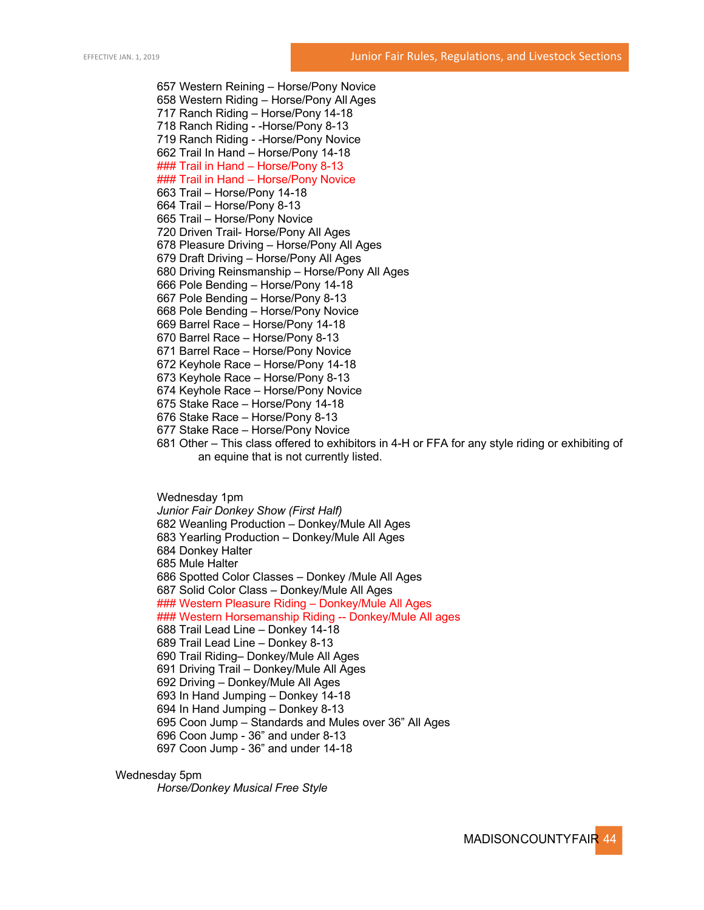657 Western Reining – Horse/Pony Novice 658 Western Riding – Horse/Pony All Ages 717 Ranch Riding – Horse/Pony 14-18 718 Ranch Riding - -Horse/Pony 8-13 719 Ranch Riding - -Horse/Pony Novice 662 Trail In Hand – Horse/Pony 14-18 ### Trail in Hand – Horse/Pony 8-13 **### Trail in Hand - Horse/Pony Novice** 663 Trail – Horse/Pony 14-18 664 Trail – Horse/Pony 8-13 665 Trail – Horse/Pony Novice 720 Driven Trail- Horse/Pony All Ages 678 Pleasure Driving – Horse/Pony All Ages 679 Draft Driving – Horse/Pony All Ages 680 Driving Reinsmanship – Horse/Pony All Ages 666 Pole Bending – Horse/Pony 14-18 667 Pole Bending – Horse/Pony 8-13 668 Pole Bending – Horse/Pony Novice 669 Barrel Race – Horse/Pony 14-18 670 Barrel Race – Horse/Pony 8-13 671 Barrel Race – Horse/Pony Novice 672 Keyhole Race – Horse/Pony 14-18 673 Keyhole Race – Horse/Pony 8-13 674 Keyhole Race – Horse/Pony Novice 675 Stake Race – Horse/Pony 14-18 676 Stake Race – Horse/Pony 8-13 677 Stake Race – Horse/Pony Novice

681 Other – This class offered to exhibitors in 4-H or FFA for any style riding or exhibiting of an equine that is not currently listed.

Wednesday 1pm *Junior Fair Donkey Show (First Half)* 682 Weanling Production – Donkey/Mule All Ages 683 Yearling Production – Donkey/Mule All Ages 684 Donkey Halter 685 Mule Halter 686 Spotted Color Classes – Donkey /Mule All Ages 687 Solid Color Class – Donkey/Mule All Ages ### Western Pleasure Riding – Donkey/Mule All Ages ### Western Horsemanship Riding -- Donkey/Mule All ages 688 Trail Lead Line – Donkey 14-18 689 Trail Lead Line – Donkey 8-13 690 Trail Riding– Donkey/Mule All Ages 691 Driving Trail – Donkey/Mule All Ages 692 Driving – Donkey/Mule All Ages 693 In Hand Jumping – Donkey 14-18 694 In Hand Jumping – Donkey 8-13 695 Coon Jump – Standards and Mules over 36" All Ages 696 Coon Jump - 36" and under 8-13 697 Coon Jump - 36" and under 14-18

Wednesday 5pm

*Horse/Donkey Musical Free Style*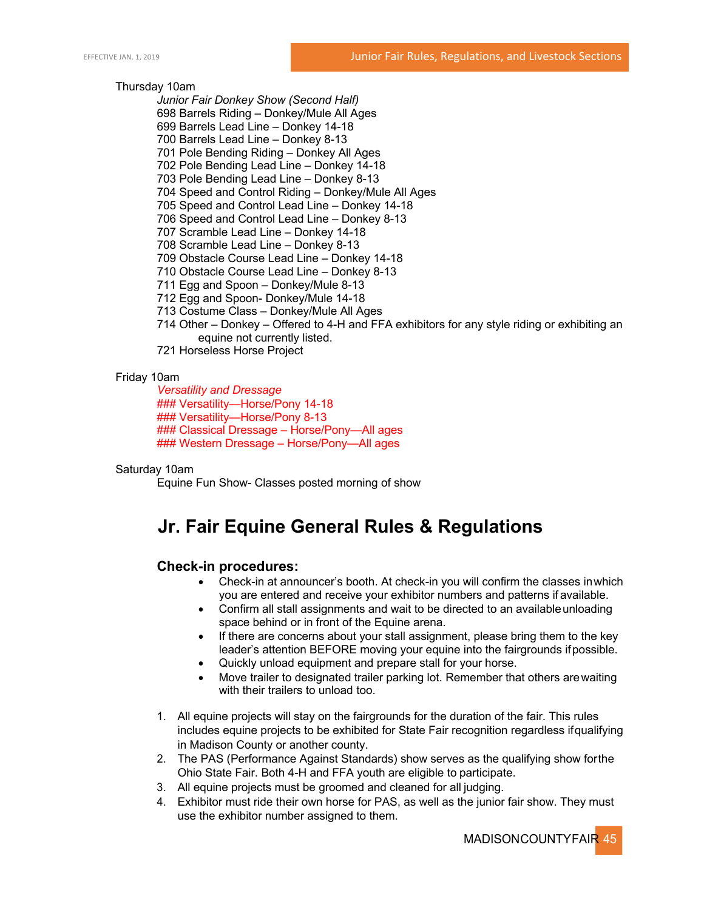#### Thursday 10am

*Junior Fair Donkey Show (Second Half)* 

- 698 Barrels Riding Donkey/Mule All Ages
- 699 Barrels Lead Line Donkey 14-18
- 700 Barrels Lead Line Donkey 8-13
- 701 Pole Bending Riding Donkey All Ages
- 702 Pole Bending Lead Line Donkey 14-18
- 703 Pole Bending Lead Line Donkey 8-13
- 704 Speed and Control Riding Donkey/Mule All Ages
- 705 Speed and Control Lead Line Donkey 14-18
- 706 Speed and Control Lead Line Donkey 8-13
- 707 Scramble Lead Line Donkey 14-18
- 708 Scramble Lead Line Donkey 8-13
- 709 Obstacle Course Lead Line Donkey 14-18
- 710 Obstacle Course Lead Line Donkey 8-13
- 711 Egg and Spoon Donkey/Mule 8-13
- 712 Egg and Spoon- Donkey/Mule 14-18
- 713 Costume Class Donkey/Mule All Ages
- 714 Other Donkey Offered to 4-H and FFA exhibitors for any style riding or exhibiting an equine not currently listed.
- 721 Horseless Horse Project

#### Friday 10am

*Versatility and Dressage* ### Versatility—Horse/Pony 14-18 ### Versatility—Horse/Pony 8-13 ### Classical Dressage – Horse/Pony—All ages ### Western Dressage – Horse/Pony—All ages

#### Saturday 10am

Equine Fun Show- Classes posted morning of show

## **Jr. Fair Equine General Rules & Regulations**

#### **Check-in procedures:**

- Check-in at announcer's booth. At check-in you will confirm the classes inwhich you are entered and receive your exhibitor numbers and patterns if available.
- Confirm all stall assignments and wait to be directed to an availableunloading space behind or in front of the Equine arena.
- If there are concerns about your stall assignment, please bring them to the key leader's attention BEFORE moving your equine into the fairgrounds ifpossible.
- Quickly unload equipment and prepare stall for your horse.
- Move trailer to designated trailer parking lot. Remember that others arewaiting with their trailers to unload too.
- 1. All equine projects will stay on the fairgrounds for the duration of the fair. This rules includes equine projects to be exhibited for State Fair recognition regardless ifqualifying in Madison County or another county.
- 2. The PAS (Performance Against Standards) show serves as the qualifying show forthe Ohio State Fair. Both 4-H and FFA youth are eligible to participate.
- 3. All equine projects must be groomed and cleaned for all judging.
- 4. Exhibitor must ride their own horse for PAS, as well as the junior fair show. They must use the exhibitor number assigned to them.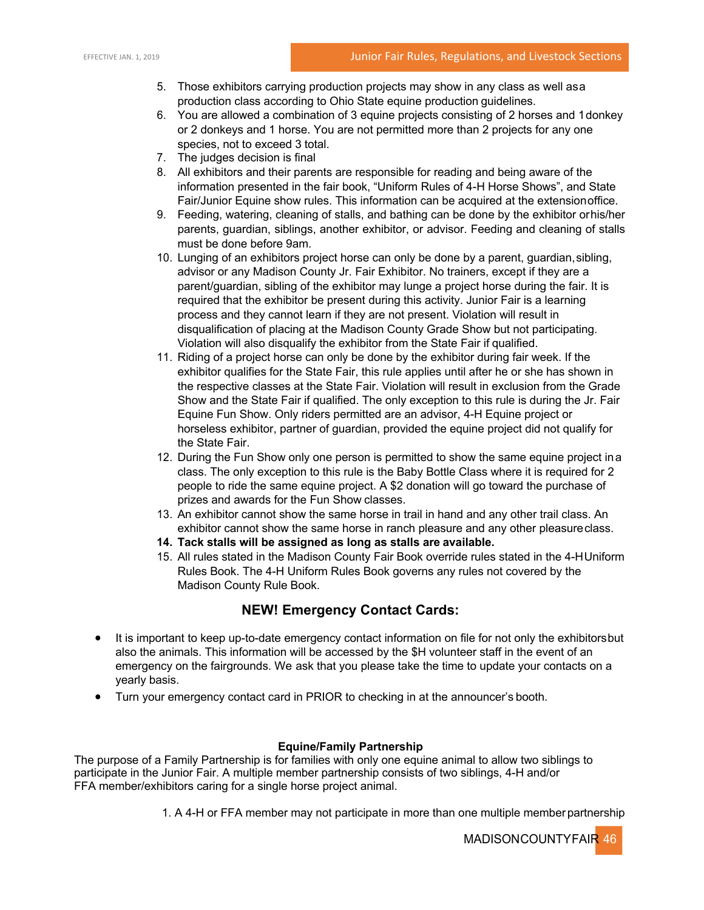- 5. Those exhibitors carrying production projects may show in any class as well asa production class according to Ohio State equine production guidelines.
- 6. You are allowed a combination of 3 equine projects consisting of 2 horses and 1donkey or 2 donkeys and 1 horse. You are not permitted more than 2 projects for any one species, not to exceed 3 total.
- 7. The judges decision is final
- 8. All exhibitors and their parents are responsible for reading and being aware of the information presented in the fair book, "Uniform Rules of 4-H Horse Shows", and State Fair/Junior Equine show rules. This information can be acquired at the extensionoffice.
- 9. Feeding, watering, cleaning of stalls, and bathing can be done by the exhibitor orhis/her parents, guardian, siblings, another exhibitor, or advisor. Feeding and cleaning of stalls must be done before 9am.
- 10. Lunging of an exhibitors project horse can only be done by a parent, guardian,sibling, advisor or any Madison County Jr. Fair Exhibitor. No trainers, except if they are a parent/guardian, sibling of the exhibitor may lunge a project horse during the fair. It is required that the exhibitor be present during this activity. Junior Fair is a learning process and they cannot learn if they are not present. Violation will result in disqualification of placing at the Madison County Grade Show but not participating. Violation will also disqualify the exhibitor from the State Fair if qualified.
- 11. Riding of a project horse can only be done by the exhibitor during fair week. If the exhibitor qualifies for the State Fair, this rule applies until after he or she has shown in the respective classes at the State Fair. Violation will result in exclusion from the Grade Show and the State Fair if qualified. The only exception to this rule is during the Jr. Fair Equine Fun Show. Only riders permitted are an advisor, 4-H Equine project or horseless exhibitor, partner of guardian, provided the equine project did not qualify for the State Fair.
- 12. During the Fun Show only one person is permitted to show the same equine project ina class. The only exception to this rule is the Baby Bottle Class where it is required for 2 people to ride the same equine project. A \$2 donation will go toward the purchase of prizes and awards for the Fun Show classes.
- 13. An exhibitor cannot show the same horse in trail in hand and any other trail class. An exhibitor cannot show the same horse in ranch pleasure and any other pleasureclass.
- **14. Tack stalls will be assigned as long as stalls are available.**
- 15. All rules stated in the Madison County Fair Book override rules stated in the 4-HUniform Rules Book. The 4-H Uniform Rules Book governs any rules not covered by the Madison County Rule Book.

## **NEW! Emergency Contact Cards:**

- It is important to keep up-to-date emergency contact information on file for not only the exhibitorsbut also the animals. This information will be accessed by the \$H volunteer staff in the event of an emergency on the fairgrounds. We ask that you please take the time to update your contacts on a yearly basis.
- Turn your emergency contact card in PRIOR to checking in at the announcer's booth.

#### **Equine/Family Partnership**

The purpose of a Family Partnership is for families with only one equine animal to allow two siblings to participate in the Junior Fair. A multiple member partnership consists of two siblings, 4-H and/or FFA member/exhibitors caring for a single horse project animal.

1. A 4-H or FFA member may not participate in more than one multiple memberpartnership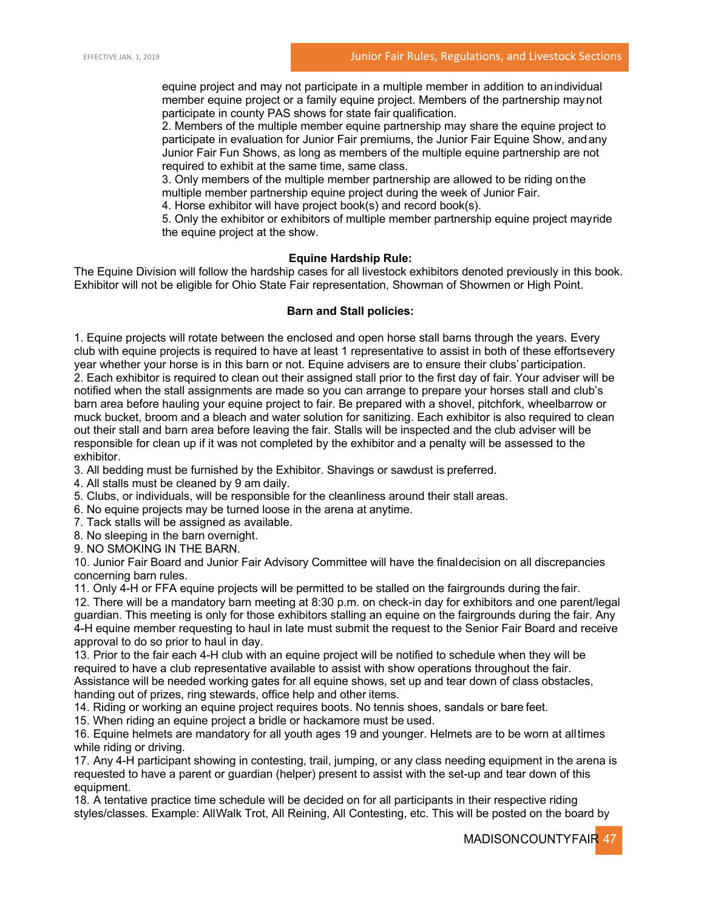equine project and may not participate in a multiple member in addition to anindividual member equine project or a family equine project. Members of the partnership maynot participate in county PAS shows for state fair qualification.

2. Members of the multiple member equine partnership may share the equine project to participate in evaluation for Junior Fair premiums, the Junior Fair Equine Show, andany Junior Fair Fun Shows, as long as members of the multiple equine partnership are not required to exhibit at the same time, same class.

3. Only members of the multiple member partnership are allowed to be riding onthe multiple member partnership equine project during the week of Junior Fair.

4. Horse exhibitor will have project book(s) and record book(s).

5. Only the exhibitor or exhibitors of multiple member partnership equine project mayride the equine project at the show.

#### **Equine Hardship Rule:**

The Equine Division will follow the hardship cases for all livestock exhibitors denoted previously in this book. Exhibitor will not be eligible for Ohio State Fair representation, Showman of Showmen or High Point.

#### **Barn and Stall policies:**

1. Equine projects will rotate between the enclosed and open horse stall barns through the years. Every club with equine projects is required to have at least 1 representative to assist in both of these effortsevery year whether your horse is in this barn or not. Equine advisers are to ensure their clubs' participation. 2. Each exhibitor is required to clean out their assigned stall prior to the first day of fair. Your adviser will be notified when the stall assignments are made so you can arrange to prepare your horses stall and club's barn area before hauling your equine project to fair. Be prepared with a shovel, pitchfork, wheelbarrow or muck bucket, broom and a bleach and water solution for sanitizing. Each exhibitor is also required to clean out their stall and barn area before leaving the fair. Stalls will be inspected and the club adviser will be responsible for clean up if it was not completed by the exhibitor and a penalty will be assessed to the exhibitor.

3. All bedding must be furnished by the Exhibitor. Shavings or sawdust is preferred.

- 4. All stalls must be cleaned by 9 am daily.
- 5. Clubs, or individuals, will be responsible for the cleanliness around their stall areas.
- 6. No equine projects may be turned loose in the arena at anytime.
- 7. Tack stalls will be assigned as available.
- 8. No sleeping in the barn overnight.

9. NO SMOKING IN THE BARN.

10. Junior Fair Board and Junior Fair Advisory Committee will have the finaldecision on all discrepancies concerning barn rules.

11. Only 4-H or FFA equine projects will be permitted to be stalled on the fairgrounds during the fair.

12. There will be a mandatory barn meeting at 8:30 p.m. on check-in day for exhibitors and one parent/legal guardian. This meeting is only for those exhibitors stalling an equine on the fairgrounds during the fair. Any 4-H equine member requesting to haul in late must submit the request to the Senior Fair Board and receive approval to do so prior to haul in day.

13. Prior to the fair each 4-H club with an equine project will be notified to schedule when they will be required to have a club representative available to assist with show operations throughout the fair.

Assistance will be needed working gates for all equine shows, set up and tear down of class obstacles, handing out of prizes, ring stewards, office help and other items.

14. Riding or working an equine project requires boots. No tennis shoes, sandals or bare feet.

15. When riding an equine project a bridle or hackamore must be used.

16. Equine helmets are mandatory for all youth ages 19 and younger. Helmets are to be worn at alltimes while riding or driving.

17. Any 4-H participant showing in contesting, trail, jumping, or any class needing equipment in the arena is requested to have a parent or guardian (helper) present to assist with the set-up and tear down of this equipment.

18. A tentative practice time schedule will be decided on for all participants in their respective riding styles/classes. Example: AllWalk Trot, All Reining, All Contesting, etc. This will be posted on the board by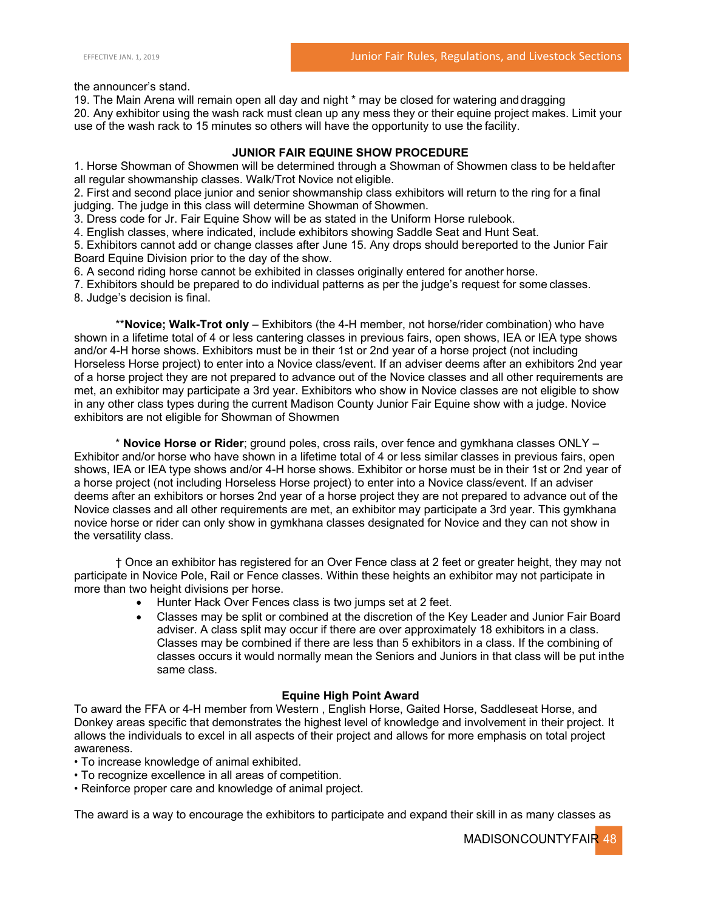the announcer's stand.

19. The Main Arena will remain open all day and night \* may be closed for watering anddragging 20. Any exhibitor using the wash rack must clean up any mess they or their equine project makes. Limit your use of the wash rack to 15 minutes so others will have the opportunity to use the facility.

## **JUNIOR FAIR EQUINE SHOW PROCEDURE**

1. Horse Showman of Showmen will be determined through a Showman of Showmen class to be heldafter all regular showmanship classes. Walk/Trot Novice not eligible.

2. First and second place junior and senior showmanship class exhibitors will return to the ring for a final judging. The judge in this class will determine Showman of Showmen.

3. Dress code for Jr. Fair Equine Show will be as stated in the Uniform Horse rulebook.

4. English classes, where indicated, include exhibitors showing Saddle Seat and Hunt Seat.

5. Exhibitors cannot add or change classes after June 15. Any drops should bereported to the Junior Fair Board Equine Division prior to the day of the show.

6. A second riding horse cannot be exhibited in classes originally entered for another horse.

7. Exhibitors should be prepared to do individual patterns as per the judge's request for some classes.

8. Judge's decision is final.

\*\***Novice; Walk-Trot only** – Exhibitors (the 4-H member, not horse/rider combination) who have shown in a lifetime total of 4 or less cantering classes in previous fairs, open shows, IEA or IEA type shows and/or 4-H horse shows. Exhibitors must be in their 1st or 2nd year of a horse project (not including Horseless Horse project) to enter into a Novice class/event. If an adviser deems after an exhibitors 2nd year of a horse project they are not prepared to advance out of the Novice classes and all other requirements are met, an exhibitor may participate a 3rd year. Exhibitors who show in Novice classes are not eligible to show in any other class types during the current Madison County Junior Fair Equine show with a judge. Novice exhibitors are not eligible for Showman of Showmen

\* **Novice Horse or Rider**; ground poles, cross rails, over fence and gymkhana classes ONLY – Exhibitor and/or horse who have shown in a lifetime total of 4 or less similar classes in previous fairs, open shows, IEA or IEA type shows and/or 4-H horse shows. Exhibitor or horse must be in their 1st or 2nd year of a horse project (not including Horseless Horse project) to enter into a Novice class/event. If an adviser deems after an exhibitors or horses 2nd year of a horse project they are not prepared to advance out of the Novice classes and all other requirements are met, an exhibitor may participate a 3rd year. This gymkhana novice horse or rider can only show in gymkhana classes designated for Novice and they can not show in the versatility class.

† Once an exhibitor has registered for an Over Fence class at 2 feet or greater height, they may not participate in Novice Pole, Rail or Fence classes. Within these heights an exhibitor may not participate in more than two height divisions per horse.

- Hunter Hack Over Fences class is two jumps set at 2 feet.
- Classes may be split or combined at the discretion of the Key Leader and Junior Fair Board adviser. A class split may occur if there are over approximately 18 exhibitors in a class. Classes may be combined if there are less than 5 exhibitors in a class. If the combining of classes occurs it would normally mean the Seniors and Juniors in that class will be put inthe same class.

#### **Equine High Point Award**

To award the FFA or 4-H member from Western , English Horse, Gaited Horse, Saddleseat Horse, and Donkey areas specific that demonstrates the highest level of knowledge and involvement in their project. It allows the individuals to excel in all aspects of their project and allows for more emphasis on total project awareness.

- To increase knowledge of animal exhibited.
- To recognize excellence in all areas of competition.
- Reinforce proper care and knowledge of animal project.

The award is a way to encourage the exhibitors to participate and expand their skill in as many classes as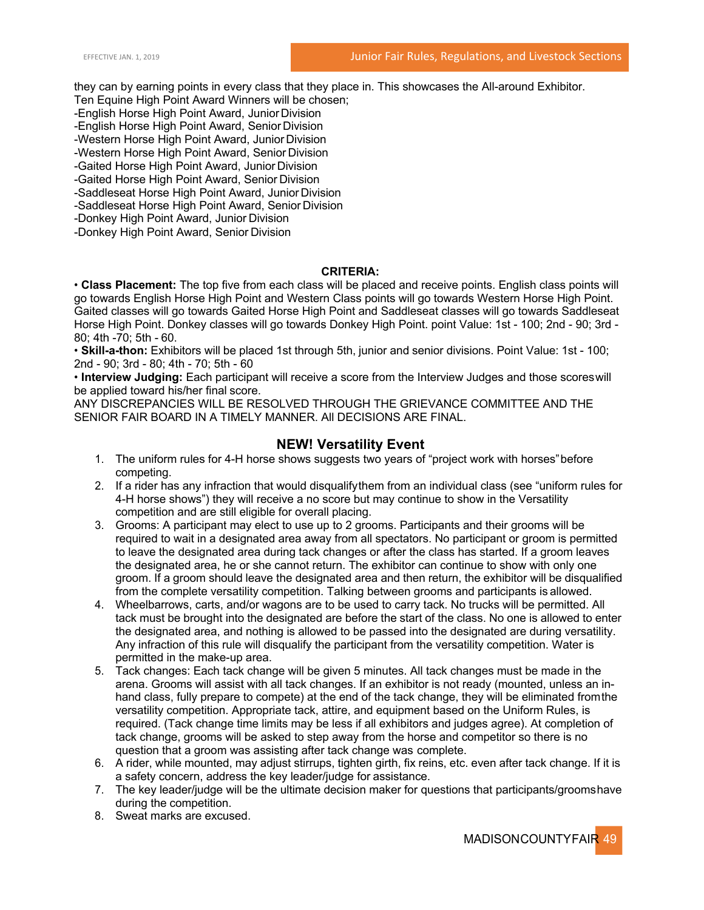they can by earning points in every class that they place in. This showcases the All-around Exhibitor.

Ten Equine High Point Award Winners will be chosen;

-English Horse High Point Award, Junior Division

-English Horse High Point Award, Senior Division

-Western Horse High Point Award, Junior Division

-Western Horse High Point Award, Senior Division

-Gaited Horse High Point Award, Junior Division

-Gaited Horse High Point Award, Senior Division

-Saddleseat Horse High Point Award, Junior Division -Saddleseat Horse High Point Award, Senior Division

-Donkey High Point Award, Junior Division

-Donkey High Point Award, Senior Division

## **CRITERIA:**

• **Class Placement:** The top five from each class will be placed and receive points. English class points will go towards English Horse High Point and Western Class points will go towards Western Horse High Point. Gaited classes will go towards Gaited Horse High Point and Saddleseat classes will go towards Saddleseat Horse High Point. Donkey classes will go towards Donkey High Point. point Value: 1st - 100; 2nd - 90; 3rd - 80; 4th -70; 5th - 60.

• **Skill-a-thon:** Exhibitors will be placed 1st through 5th, junior and senior divisions. Point Value: 1st - 100; 2nd - 90; 3rd - 80; 4th - 70; 5th - 60

• **Interview Judging:** Each participant will receive a score from the Interview Judges and those scoreswill be applied toward his/her final score.

ANY DISCREPANCIES WILL BE RESOLVED THROUGH THE GRIEVANCE COMMITTEE AND THE SENIOR FAIR BOARD IN A TIMELY MANNER. All DECISIONS ARE FINAL.

## **NEW! Versatility Event**

- 1. The uniform rules for 4-H horse shows suggests two years of "project work with horses"before competing.
- 2. If a rider has any infraction that would disqualifythem from an individual class (see "uniform rules for 4-H horse shows") they will receive a no score but may continue to show in the Versatility competition and are still eligible for overall placing.
- 3. Grooms: A participant may elect to use up to 2 grooms. Participants and their grooms will be required to wait in a designated area away from all spectators. No participant or groom is permitted to leave the designated area during tack changes or after the class has started. If a groom leaves the designated area, he or she cannot return. The exhibitor can continue to show with only one groom. If a groom should leave the designated area and then return, the exhibitor will be disqualified from the complete versatility competition. Talking between grooms and participants is allowed.
- 4. Wheelbarrows, carts, and/or wagons are to be used to carry tack. No trucks will be permitted. All tack must be brought into the designated are before the start of the class. No one is allowed to enter the designated area, and nothing is allowed to be passed into the designated are during versatility. Any infraction of this rule will disqualify the participant from the versatility competition. Water is permitted in the make-up area.
- 5. Tack changes: Each tack change will be given 5 minutes. All tack changes must be made in the arena. Grooms will assist with all tack changes. If an exhibitor is not ready (mounted, unless an inhand class, fully prepare to compete) at the end of the tack change, they will be eliminated fromthe versatility competition. Appropriate tack, attire, and equipment based on the Uniform Rules, is required. (Tack change time limits may be less if all exhibitors and judges agree). At completion of tack change, grooms will be asked to step away from the horse and competitor so there is no question that a groom was assisting after tack change was complete.
- 6. A rider, while mounted, may adjust stirrups, tighten girth, fix reins, etc. even after tack change. If it is a safety concern, address the key leader/judge for assistance.
- 7. The key leader/judge will be the ultimate decision maker for questions that participants/groomshave during the competition.
- 8. Sweat marks are excused.